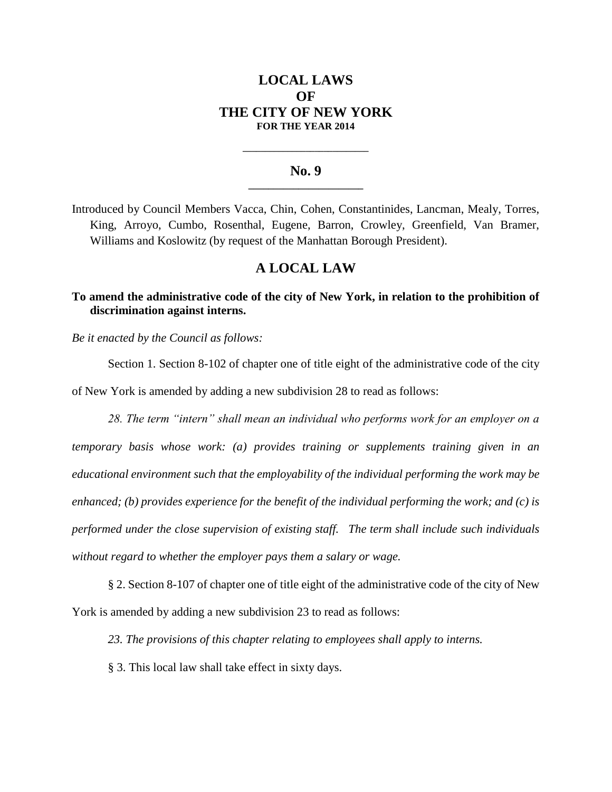# **LOCAL LAWS OF THE CITY OF NEW YORK FOR THE YEAR 2014**

#### **No. 9 \_\_\_\_\_\_\_\_\_\_\_\_\_\_\_\_\_\_\_\_\_\_\_**

**\_\_\_\_\_\_\_\_\_\_\_\_\_\_\_\_\_\_\_\_\_\_\_\_\_\_\_\_**

Introduced by Council Members Vacca, Chin, Cohen, Constantinides, Lancman, Mealy, Torres, King, Arroyo, Cumbo, Rosenthal, Eugene, Barron, Crowley, Greenfield, Van Bramer, Williams and Koslowitz (by request of the Manhattan Borough President).

## **A LOCAL LAW**

## **To amend the administrative code of the city of New York, in relation to the prohibition of discrimination against interns.**

*Be it enacted by the Council as follows:*

Section 1. Section 8-102 of chapter one of title eight of the administrative code of the city of New York is amended by adding a new subdivision 28 to read as follows:

*28. The term "intern" shall mean an individual who performs work for an employer on a temporary basis whose work: (a) provides training or supplements training given in an educational environment such that the employability of the individual performing the work may be enhanced; (b) provides experience for the benefit of the individual performing the work; and (c) is performed under the close supervision of existing staff. The term shall include such individuals without regard to whether the employer pays them a salary or wage.*

§ 2. Section 8-107 of chapter one of title eight of the administrative code of the city of New York is amended by adding a new subdivision 23 to read as follows:

*23. The provisions of this chapter relating to employees shall apply to interns.* 

§ 3. This local law shall take effect in sixty days.